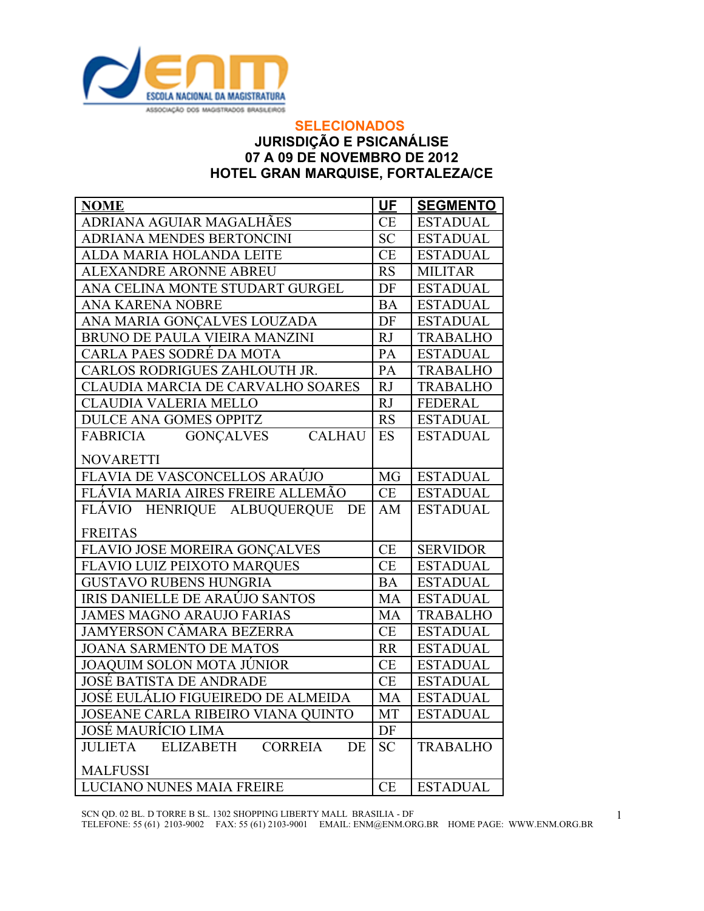

## **SELECIONADOS JURISDIÇÃO E PSICANÁLISE 07 A 09 DE NOVEMBRO DE 2012 HOTEL GRAN MARQUISE, FORTALEZA/CE**

| <b>NOME</b>                                                       | <b>UF</b> | <b>SEGMENTO</b> |
|-------------------------------------------------------------------|-----------|-----------------|
| ADRIANA AGUIAR MAGALHÃES                                          | <b>CE</b> | <b>ESTADUAL</b> |
| ADRIANA MENDES BERTONCINI                                         | <b>SC</b> | <b>ESTADUAL</b> |
| ALDA MARIA HOLANDA LEITE                                          | CE        | <b>ESTADUAL</b> |
| <b>ALEXANDRE ARONNE ABREU</b>                                     | <b>RS</b> | <b>MILITAR</b>  |
| ANA CELINA MONTE STUDART GURGEL                                   | DF        | <b>ESTADUAL</b> |
| ANA KARENA NOBRE                                                  | <b>BA</b> | <b>ESTADUAL</b> |
| ANA MARIA GONÇALVES LOUZADA                                       | DF        | <b>ESTADUAL</b> |
| BRUNO DE PAULA VIEIRA MANZINI                                     | RJ        | <b>TRABALHO</b> |
| CARLA PAES SODRÉ DA MOTA                                          | PA        | <b>ESTADUAL</b> |
| CARLOS RODRIGUES ZAHLOUTH JR.                                     | PA        | <b>TRABALHO</b> |
| CLAUDIA MARCIA DE CARVALHO SOARES                                 | RJ        | <b>TRABALHO</b> |
| CLAUDIA VALERIA MELLO                                             | RJ        | <b>FEDERAL</b>  |
| <b>DULCE ANA GOMES OPPITZ</b>                                     | <b>RS</b> | <b>ESTADUAL</b> |
| <b>CALHAU</b><br><b>FABRICIA</b><br><b>GONÇALVES</b>              | <b>ES</b> | <b>ESTADUAL</b> |
| <b>NOVARETTI</b>                                                  |           |                 |
| FLAVIA DE VASCONCELLOS ARAÚJO                                     | <b>MG</b> | <b>ESTADUAL</b> |
| FLÁVIA MARIA AIRES FREIRE ALLEMÃO                                 | CE        | <b>ESTADUAL</b> |
| FLÁVIO HENRIQUE ALBUQUERQUE<br>DE                                 | AM        | <b>ESTADUAL</b> |
| <b>FREITAS</b>                                                    |           |                 |
| FLAVIO JOSE MOREIRA GONÇALVES                                     | CE        | <b>SERVIDOR</b> |
| FLAVIO LUIZ PEIXOTO MARQUES                                       | <b>CE</b> | <b>ESTADUAL</b> |
| <b>GUSTAVO RUBENS HUNGRIA</b>                                     | <b>BA</b> | <b>ESTADUAL</b> |
| IRIS DANIELLE DE ARAÚJO SANTOS                                    | MA        | <b>ESTADUAL</b> |
| <b>JAMES MAGNO ARAUJO FARIAS</b>                                  | <b>MA</b> | <b>TRABALHO</b> |
| <b>JAMYERSON CÂMARA BEZERRA</b>                                   | CE        | <b>ESTADUAL</b> |
| <b>JOANA SARMENTO DE MATOS</b>                                    | RR        | <b>ESTADUAL</b> |
| JOAQUIM SOLON MOTA JÚNIOR                                         | CE        | <b>ESTADUAL</b> |
| <b>JOSÉ BATISTA DE ANDRADE</b>                                    | CE        | <b>ESTADUAL</b> |
| JOSÉ EULÁLIO FIGUEIREDO DE ALMEIDA                                | <b>MA</b> | <b>ESTADUAL</b> |
| JOSEANE CARLA RIBEIRO VIANA QUINTO                                | <b>MT</b> | <b>ESTADUAL</b> |
| JOSÉ MAURÍCIO LIMA                                                | DF        |                 |
| <b>JULIETA</b><br><b>ELIZABETH</b><br><b>CORREIA</b><br><b>DE</b> | <b>SC</b> | <b>TRABALHO</b> |
| <b>MALFUSSI</b>                                                   |           |                 |
| <b>LUCIANO NUNES MAIA FREIRE</b>                                  | CE        | <b>ESTADUAL</b> |

SCN QD. 02 BL. D TORRE B SL. 1302 SHOPPING LIBERTY MALL BRASILIA - DF

TELEFONE: 55 (61) 2103-9002 FAX: 55 (61) 2103-9001 EMAIL: ENM@ENM.ORG.BR HOME PAGE: WWW.ENM.ORG.BR